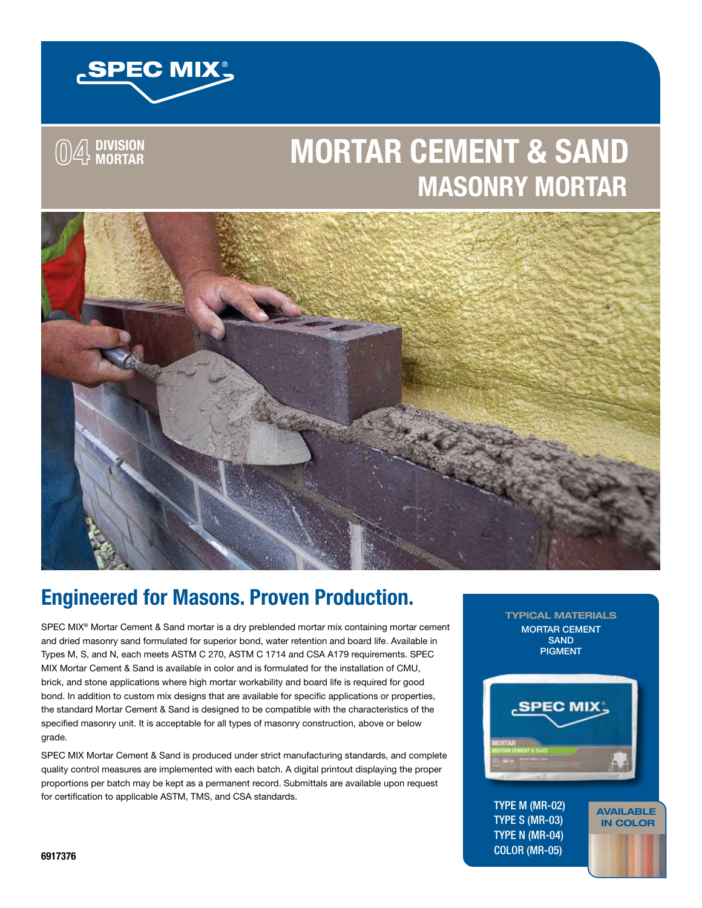

**04 DIVISION 04 MASONRY PRODUCTS DIVISION**

# **MORTAR MORTAR CEMENT & SAND MASONRY MORTAR**



# **Engineered for Masons. Proven Production.**

SPEC MIX<sup>®</sup> Mortar Cement & Sand mortar is a dry preblended mortar mix containing mortar cement and dried masonry sand formulated for superior bond, water retention and board life. Available in Types M, S, and N, each meets ASTM C 270, ASTM C 1714 and CSA A179 requirements. SPEC MIX Mortar Cement & Sand is available in color and is formulated for the installation of CMU, brick, and stone applications where high mortar workability and board life is required for good bond. In addition to custom mix designs that are available for specific applications or properties, the standard Mortar Cement & Sand is designed to be compatible with the characteristics of the specified masonry unit. It is acceptable for all types of masonry construction, above or below grade.

SPEC MIX Mortar Cement & Sand is produced under strict manufacturing standards, and complete quality control measures are implemented with each batch. A digital printout displaying the proper proportions per batch may be kept as a permanent record. Submittals are available upon request for certification to applicable ASTM, TMS, and CSA standards.

TYPICAL MATERIALS MORTAR CEMENT SAND PIGMENT



AVAILABLE IN COLOR

TYPE M (MR-02) TYPE S (MR-03) TYPE N (MR-04) COLOR (MR-05)